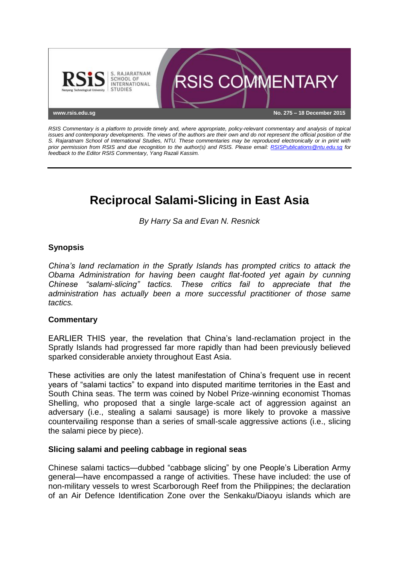

*RSIS Commentary is a platform to provide timely and, where appropriate, policy-relevant commentary and analysis of topical issues and contemporary developments. The views of the authors are their own and do not represent the official position of the S. Rajaratnam School of International Studies, NTU. These commentaries may be reproduced electronically or in print with prior permission from RSIS and due recognition to the author(s) and RSIS. Please email: [RSISPublications@ntu.edu.sg](mailto:RSISPublications@ntu.edu.sg) for feedback to the Editor RSIS Commentary, Yang Razali Kassim.*

# **Reciprocal Salami-Slicing in East Asia**

*By Harry Sa and Evan N. Resnick*

# **Synopsis**

*China's land reclamation in the Spratly Islands has prompted critics to attack the Obama Administration for having been caught flat-footed yet again by cunning Chinese "salami-slicing" tactics. These critics fail to appreciate that the administration has actually been a more successful practitioner of those same tactics.*

## **Commentary**

EARLIER THIS year, the revelation that China's land-reclamation project in the Spratly Islands had progressed far more rapidly than had been previously believed sparked considerable anxiety throughout East Asia.

These activities are only the latest manifestation of China's frequent use in recent years of "salami tactics" to expand into disputed maritime territories in the East and South China seas. The term was coined by Nobel Prize-winning economist Thomas Shelling, who proposed that a single large-scale act of aggression against an adversary (i.e., stealing a salami sausage) is more likely to provoke a massive countervailing response than a series of small-scale aggressive actions (i.e., slicing the salami piece by piece).

#### **Slicing salami and peeling cabbage in regional seas**

Chinese salami tactics—dubbed "cabbage slicing" by one People's Liberation Army general—have encompassed a range of activities. These have included: the use of non-military vessels to wrest Scarborough Reef from the Philippines; the declaration of an Air Defence Identification Zone over the Senkaku/Diaoyu islands which are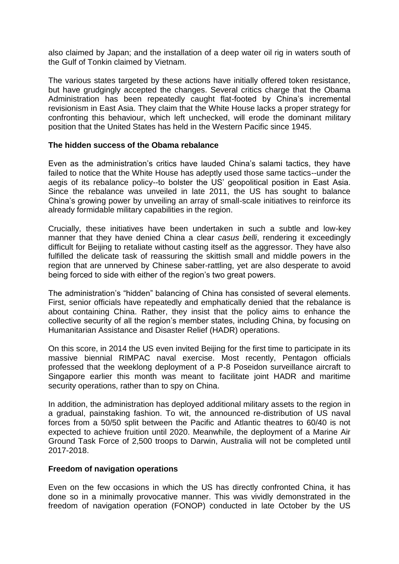also claimed by Japan; and the installation of a deep water oil rig in waters south of the Gulf of Tonkin claimed by Vietnam.

The various states targeted by these actions have initially offered token resistance, but have grudgingly accepted the changes. Several critics charge that the Obama Administration has been repeatedly caught flat-footed by China's incremental revisionism in East Asia. They claim that the White House lacks a proper strategy for confronting this behaviour, which left unchecked, will erode the dominant military position that the United States has held in the Western Pacific since 1945.

## **The hidden success of the Obama rebalance**

Even as the administration's critics have lauded China's salami tactics, they have failed to notice that the White House has adeptly used those same tactics--under the aegis of its rebalance policy--to bolster the US' geopolitical position in East Asia. Since the rebalance was unveiled in late 2011, the US has sought to balance China's growing power by unveiling an array of small-scale initiatives to reinforce its already formidable military capabilities in the region.

Crucially, these initiatives have been undertaken in such a subtle and low-key manner that they have denied China a clear *casus belli*, rendering it exceedingly difficult for Beijing to retaliate without casting itself as the aggressor. They have also fulfilled the delicate task of reassuring the skittish small and middle powers in the region that are unnerved by Chinese saber-rattling, yet are also desperate to avoid being forced to side with either of the region's two great powers.

The administration's "hidden" balancing of China has consisted of several elements. First, senior officials have repeatedly and emphatically denied that the rebalance is about containing China. Rather, they insist that the policy aims to enhance the collective security of all the region's member states, including China, by focusing on Humanitarian Assistance and Disaster Relief (HADR) operations.

On this score, in 2014 the US even invited Beijing for the first time to participate in its massive biennial RIMPAC naval exercise. Most recently, Pentagon officials professed that the weeklong deployment of a P-8 Poseidon surveillance aircraft to Singapore earlier this month was meant to facilitate joint HADR and maritime security operations, rather than to spy on China.

In addition, the administration has deployed additional military assets to the region in a gradual, painstaking fashion. To wit, the announced re-distribution of US naval forces from a 50/50 split between the Pacific and Atlantic theatres to 60/40 is not expected to achieve fruition until 2020. Meanwhile, the deployment of a Marine Air Ground Task Force of 2,500 troops to Darwin, Australia will not be completed until 2017-2018.

## **Freedom of navigation operations**

Even on the few occasions in which the US has directly confronted China, it has done so in a minimally provocative manner. This was vividly demonstrated in the freedom of navigation operation (FONOP) conducted in late October by the US